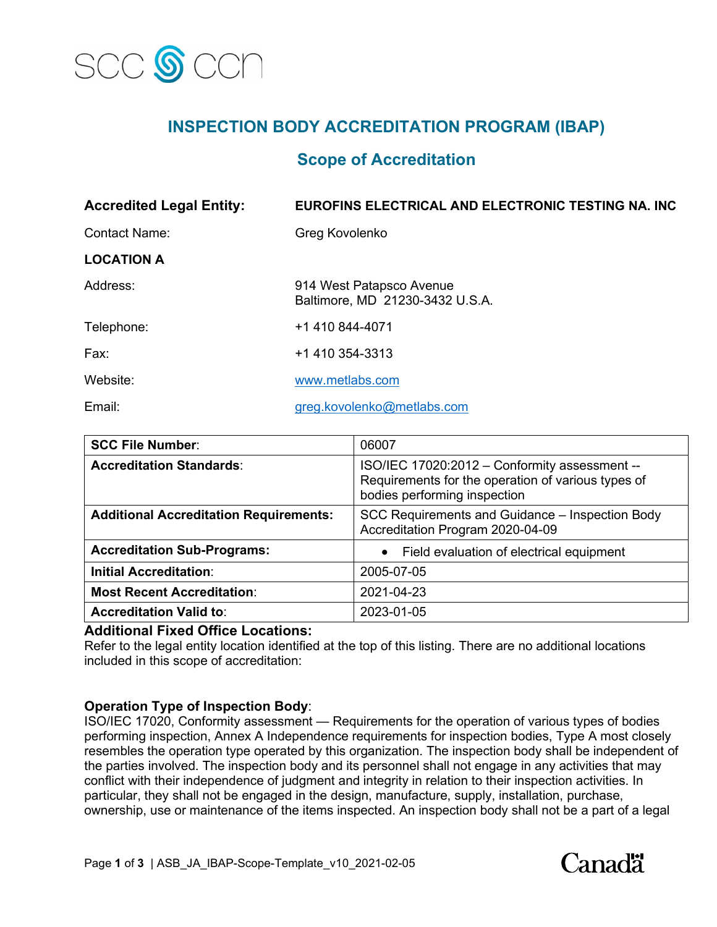

# **INSPECTION BODY ACCREDITATION PROGRAM (IBAP)**

## **Scope of Accreditation**

| <b>Accredited Legal Entity:</b> | <b>EUROFINS ELECTRICAL AND ELECTRONIC TESTING NA. INC</b>   |
|---------------------------------|-------------------------------------------------------------|
| <b>Contact Name:</b>            | Greg Kovolenko                                              |
| <b>LOCATION A</b>               |                                                             |
| Address:                        | 914 West Patapsco Avenue<br>Baltimore, MD 21230-3432 U.S.A. |
| Telephone:                      | +1 410 844-4071                                             |
| Fax:                            | +1 410 354-3313                                             |
| Website:                        | www.metlabs.com                                             |
| Email:                          | greg.kovolenko@metlabs.com                                  |

| <b>SCC File Number:</b>                       | 06007                                                                                                                               |
|-----------------------------------------------|-------------------------------------------------------------------------------------------------------------------------------------|
| <b>Accreditation Standards:</b>               | ISO/IEC 17020:2012 - Conformity assessment --<br>Requirements for the operation of various types of<br>bodies performing inspection |
| <b>Additional Accreditation Requirements:</b> | SCC Requirements and Guidance - Inspection Body<br>Accreditation Program 2020-04-09                                                 |
| <b>Accreditation Sub-Programs:</b>            | Field evaluation of electrical equipment<br>$\bullet$                                                                               |
| <b>Initial Accreditation:</b>                 | 2005-07-05                                                                                                                          |
| <b>Most Recent Accreditation:</b>             | 2021-04-23                                                                                                                          |
| <b>Accreditation Valid to:</b>                | 2023-01-05                                                                                                                          |

#### **Additional Fixed Office Locations:**

Refer to the legal entity location identified at the top of this listing. There are no additional locations included in this scope of accreditation:

#### **Operation Type of Inspection Body**:

ISO/IEC 17020, Conformity assessment — Requirements for the operation of various types of bodies performing inspection, Annex A Independence requirements for inspection bodies, Type A most closely resembles the operation type operated by this organization. The inspection body shall be independent of the parties involved. The inspection body and its personnel shall not engage in any activities that may conflict with their independence of judgment and integrity in relation to their inspection activities. In particular, they shall not be engaged in the design, manufacture, supply, installation, purchase, ownership, use or maintenance of the items inspected. An inspection body shall not be a part of a legal

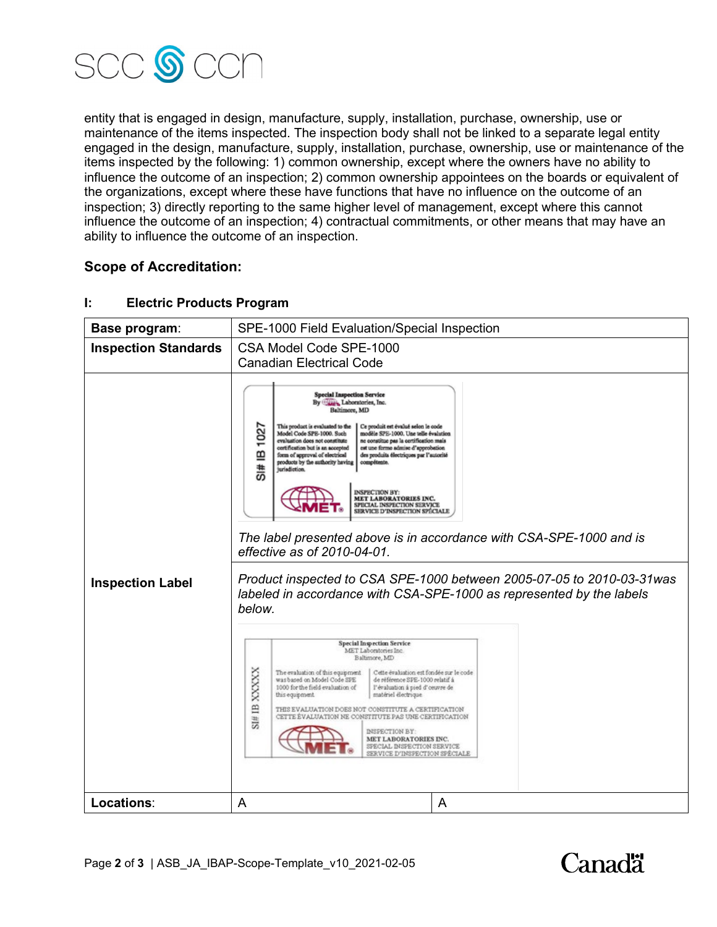

entity that is engaged in design, manufacture, supply, installation, purchase, ownership, use or maintenance of the items inspected. The inspection body shall not be linked to a separate legal entity engaged in the design, manufacture, supply, installation, purchase, ownership, use or maintenance of the items inspected by the following: 1) common ownership, except where the owners have no ability to influence the outcome of an inspection; 2) common ownership appointees on the boards or equivalent of the organizations, except where these have functions that have no influence on the outcome of an inspection; 3) directly reporting to the same higher level of management, except where this cannot influence the outcome of an inspection; 4) contractual commitments, or other means that may have an ability to influence the outcome of an inspection.

### **Scope of Accreditation:**

#### **Base program:** SPE-1000 Field Evaluation/Special Inspection **Inspection Standards** | CSA Model Code SPE-1000 Canadian Electrical Code Special Impection Service<br>By Carry, Laboratories, Inc.<br>Baltimore, MD 1027 This product is evaluated to the Model Code SPE-1000. Such uit est évalué selon le co Ce prod tradicio SPS-1000. Une telle évalution<br>ne considue pas la certification mais<br>est une forme admise d'approbation<br>des produits électriques par l'autorité evaluation does not constitute<br>certification but is an accepted stitute<br>cepted<br>trical<br>check ≌ form of approval of elec- $\frac{1}{2}$ **INSPECTION BY MET LABORATORIES INC.** SPECIAL INSPECTION SERVICE<br>SERVICE D'INSPECTION SPÉCIALE *The label presented above is in accordance with CSA-SPE-1000 and is effective as of 2010-04-01. Product inspected to CSA SPE-1000 between 2005-07-05 to 2010-03-31was*  **Inspection Label** *labeled in accordance with CSA-SPE-1000 as represented by the labels below.*  **Special Inspection Service** MET Laboratories Inc. Baltimore MD  $\begin{tabular}{l|c|c|c|c} \hline \textbf{The evaluation of this equipment} & \textbf{Cette evaluation set for } \textbf{do} & \textbf{not le code} \\ \textbf{was based on Model Code SFE} & \textbf{de reference SFE-1000 relatif} & \textbf{a} \\ \hline \end{tabular}$ XXXXX de référence SFE-1000 relatif à 1000 for the field evaluation of matériel électrique this equipment.  $\mathbf{m}$ THIS EVALUATION DOES NOT CONSTITUTE A CERTIFICATION STTE ÉVALUATION NE CONSTITUTE PAS UNE CERTIFICATION S1# DESPECTION BY: MET LABORATORIES INC. SPECIAL DISPECTION SERVICE SERVICE D'INSPECTION SPÉCIALE **Locations:** A A A

#### **I: Electric Products Program**